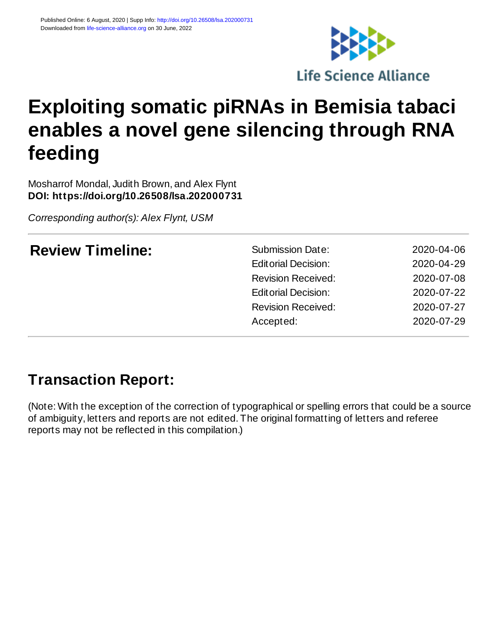

# **Exploiting somatic piRNAs in Bemisia tabaci enables a novel gene silencing through RNA feeding**

Mosharrof Mondal, Judith Brown, and Alex Flynt **DOI: https://doi.org/10.26508/lsa.202000731**

*Corresponding author(s): Alex Flynt, USM*

| <b>Review Timeline:</b> | <b>Submission Date:</b><br><b>Editorial Decision:</b><br><b>Revision Received:</b> | 2020-04-06<br>2020-04-29<br>2020-07-08 |
|-------------------------|------------------------------------------------------------------------------------|----------------------------------------|
|                         | <b>Editorial Decision:</b>                                                         | 2020-07-22                             |
|                         | <b>Revision Received:</b>                                                          | 2020-07-27                             |
|                         | Accepted:                                                                          | 2020-07-29                             |
|                         |                                                                                    |                                        |

## **Transaction Report:**

(Note: With the exception of the correction of typographical or spelling errors that could be a source of ambiguity, letters and reports are not edited. The original formatting of letters and referee reports may not be reflected in this compilation.)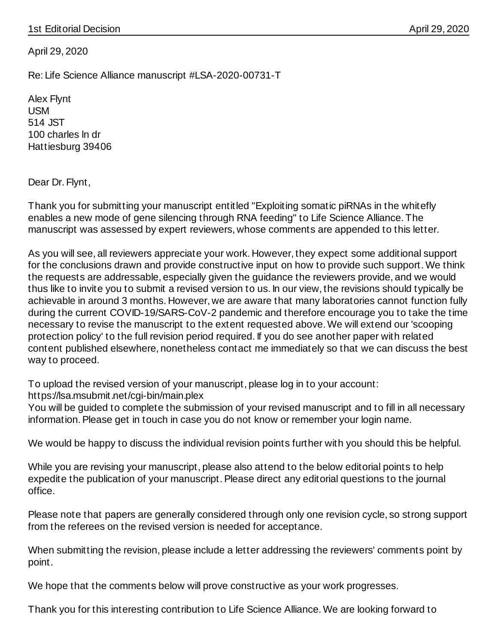April 29, 2020

Re: Life Science Alliance manuscript #LSA-2020-00731-T

Alex Flynt USM 514 JST 100 charles ln dr Hattiesburg 39406

Dear Dr. Flynt,

Thank you for submitting your manuscript entitled "Exploiting somatic piRNAs in the whitefly enables a new mode of gene silencing through RNA feeding" to Life Science Alliance. The manuscript was assessed by expert reviewers, whose comments are appended to this letter.

As you will see, all reviewers appreciate your work. However, they expect some additional support for the conclusions drawn and provide constructive input on how to provide such support. We think the requests are addressable, especially given the guidance the reviewers provide, and we would thus like to invite you to submit a revised version to us. In our view, the revisions should typically be achievable in around 3 months. However, we are aware that many laboratories cannot function fully during the current COVID-19/SARS-CoV-2 pandemic and therefore encourage you to take the time necessary to revise the manuscript to the extent requested above. We will extend our 'scooping protection policy' to the full revision period required. If you do see another paper with related content published elsewhere, nonetheless contact me immediately so that we can discuss the best way to proceed.

To upload the revised version of your manuscript, please log in to your account: https://lsa.msubmit.net/cgi-bin/main.plex

You will be guided to complete the submission of your revised manuscript and to fill in all necessary information. Please get in touch in case you do not know or remember your login name.

We would be happy to discuss the individual revision points further with you should this be helpful.

While you are revising your manuscript, please also attend to the below editorial points to help expedite the publication of your manuscript. Please direct any editorial questions to the journal office.

Please note that papers are generally considered through only one revision cycle, so strong support from the referees on the revised version is needed for acceptance.

When submitting the revision, please include a letter addressing the reviewers' comments point by point.

We hope that the comments below will prove constructive as your work progresses.

Thank you for this interesting contribution to Life Science Alliance. We are looking forward to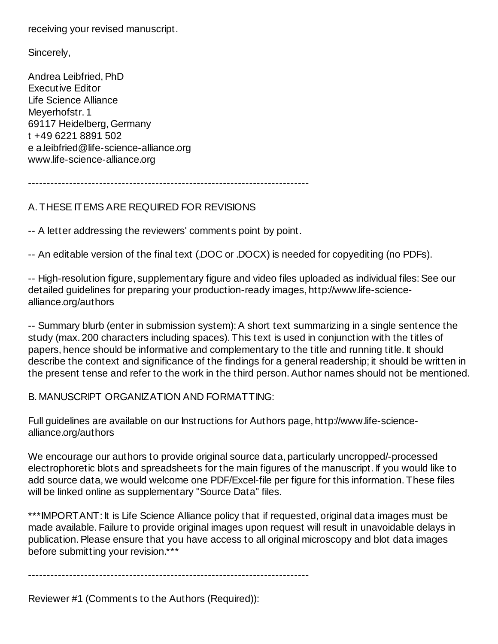receiving your revised manuscript.

Sincerely,

Andrea Leibfried, PhD Executive Editor Life Science Alliance Meyerhofstr. 1 69117 Heidelberg, Germany t +49 6221 8891 502 e a.leibfried@life-science-alliance.org www.life-science-alliance.org

---------------------------------------------------------------------------

### A. THESE ITEMS ARE REQUIRED FOR REVISIONS

-- A letter addressing the reviewers' comments point by point.

-- An editable version of the final text (.DOC or .DOCX) is needed for copyediting (no PDFs).

-- High-resolution figure, supplementary figure and video files uploaded as individual files: See our detailed guidelines for preparing your production-ready images, http://www.life-sciencealliance.org/authors

-- Summary blurb (enter in submission system): A short text summarizing in a single sentence the study (max. 200 characters including spaces). This text is used in conjunction with the titles of papers, hence should be informative and complementary to the title and running title. It should describe the context and significance of the findings for a general readership; it should be written in the present tense and refer to the work in the third person. Author names should not be mentioned.

B. MANUSCRIPT ORGANIZATION AND FORMATTING:

Full guidelines are available on our Instructions for Authors page, http://www.life-sciencealliance.org/authors

We encourage our authors to provide original source data, particularly uncropped/-processed electrophoretic blots and spreadsheets for the main figures of the manuscript. If you would like to add source data, we would welcome one PDF/Excel-file per figure for this information. These files will be linked online as supplementary "Source Data" files.

\*\*\*IMPORTANT: It is Life Science Alliance policy that if requested, original data images must be made available. Failure to provide original images upon request will result in unavoidable delays in publication. Please ensure that you have access to all original microscopy and blot data images before submitting your revision.\*\*\*

---------------------------------------------------------------------------

Reviewer #1 (Comments to the Authors (Required)):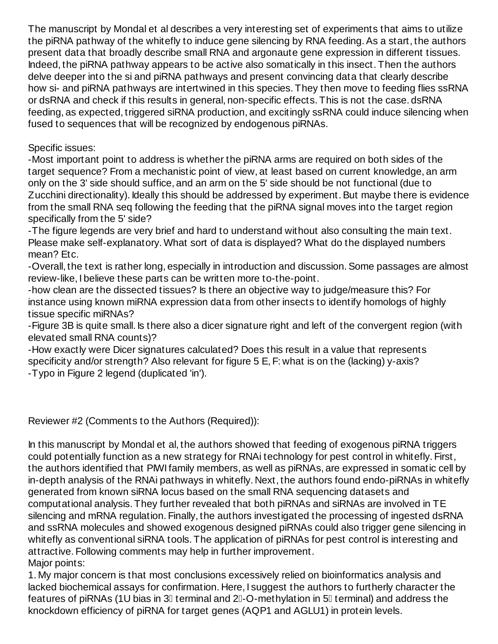The manuscript by Mondal et al describes a very interesting set of experiments that aims to utilize the piRNA pathway of the whitefly to induce gene silencing by RNA feeding. As a start, the authors present data that broadly describe small RNA and argonaute gene expression in different tissues. Indeed, the piRNA pathway appears to be active also somatically in this insect. Then the authors delve deeper into the si and piRNA pathways and present convincing data that clearly describe how si- and piRNA pathways are intertwined in this species. They then move to feeding flies ssRNA or dsRNA and check if this results in general, non-specific effects. This is not the case. dsRNA feeding, as expected, triggered siRNA production, and excitingly ssRNA could induce silencing when fused to sequences that will be recognized by endogenous piRNAs.

Specific issues:

-Most important point to address is whether the piRNA arms are required on both sides of the target sequence? From a mechanistic point of view, at least based on current knowledge, an arm only on the 3' side should suffice, and an arm on the 5' side should be not functional (due to Zucchini directionality). Ideally this should be addressed by experiment. But maybe there is evidence from the small RNA seq following the feeding that the piRNA signal moves into the target region specifically from the 5' side?

-The figure legends are very brief and hard to understand without also consulting the main text. Please make self-explanatory. What sort of data is displayed? What do the displayed numbers mean? Etc.

-Overall, the text is rather long, especially in introduction and discussion. Some passages are almost review-like, I believe these parts can be written more to-the-point.

-how clean are the dissected tissues? Is there an objective way to judge/measure this? For instance using known miRNA expression data from other insects to identify homologs of highly tissue specific miRNAs?

-Figure 3B is quite small. Is there also a dicer signature right and left of the convergent region (with elevated small RNA counts)?

-How exactly were Dicer signatures calculated? Does this result in a value that represents specificity and/or strength? Also relevant for figure 5 E, F: what is on the (lacking) y-axis? -Typo in Figure 2 legend (duplicated 'in').

Reviewer #2 (Comments to the Authors (Required)):

In this manuscript by Mondal et al, the authors showed that feeding of exogenous piRNA triggers could potentially function as a new strategy for RNAi technology for pest control in whitefly. First, the authors identified that PIWI family members, as well as piRNAs, are expressed in somatic cell by in-depth analysis of the RNAi pathways in whitefly. Next, the authors found endo-piRNAs in whitefly generated from known siRNA locus based on the small RNA sequencing datasets and computational analysis. They further revealed that both piRNAs and siRNAs are involved in TE silencing and mRNA regulation. Finally, the authors investigated the processing of ingested dsRNA and ssRNA molecules and showed exogenous designed piRNAs could also trigger gene silencing in whitefly as conventional siRNA tools. The application of piRNAs for pest control is interesting and attractive. Following comments may help in further improvement. Major points:

1. My major concern is that most conclusions excessively relied on bioinformatics analysis and lacked biochemical assays for confirmation. Here, I suggest the authors to furtherly character the features of piRNAs (1U bias in 3 $\mathbb I$  terminal and 2 $\mathbb I$ -O-methylation in 5 $\mathbb I$  terminal) and address the knockdown efficiency of piRNA for target genes (AQP1 and AGLU1) in protein levels.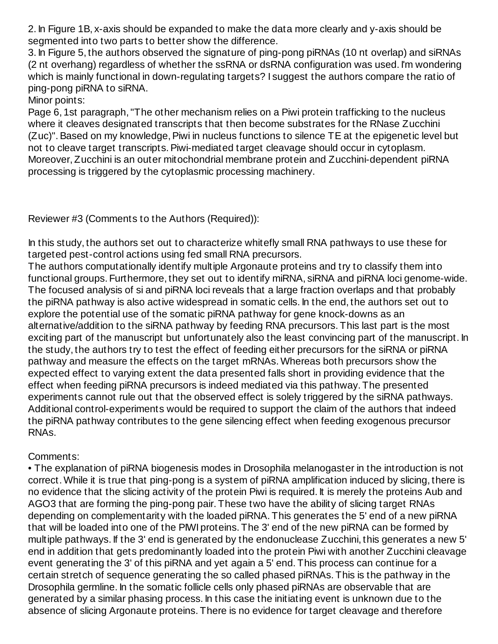2. In Figure 1B, x-axis should be expanded to make the data more clearly and y-axis should be segmented into two parts to better show the difference.

3. In Figure 5, the authors observed the signature of ping-pong piRNAs (10 nt overlap) and siRNAs (2 nt overhang) regardless of whether the ssRNA or dsRNA configuration was used. I'm wondering which is mainly functional in down-regulating targets? I suggest the authors compare the ratio of ping-pong piRNA to siRNA.

Minor points:

Page 6, 1st paragraph, "The other mechanism relies on a Piwi protein trafficking to the nucleus where it cleaves designated transcripts that then become substrates for the RNase Zucchini (Zuc)". Based on my knowledge, Piwi in nucleus functions to silence TE at the epigenetic level but not to cleave target transcripts. Piwi-mediated target cleavage should occur in cytoplasm. Moreover, Zucchini is an outer mitochondrial membrane protein and Zucchini-dependent piRNA processing is triggered by the cytoplasmic processing machinery.

Reviewer #3 (Comments to the Authors (Required)):

In this study, the authors set out to characterize whitefly small RNA pathways to use these for targeted pest-control actions using fed small RNA precursors.

The authors computationally identify multiple Argonaute proteins and try to classify them into functional groups. Furthermore, they set out to identify miRNA, siRNA and piRNA loci genome-wide. The focused analysis of si and piRNA loci reveals that a large fraction overlaps and that probably the piRNA pathway is also active widespread in somatic cells. In the end, the authors set out to explore the potential use of the somatic piRNA pathway for gene knock-downs as an alternative/addition to the siRNA pathway by feeding RNA precursors. This last part is the most exciting part of the manuscript but unfortunately also the least convincing part of the manuscript. In the study, the authors try to test the effect of feeding either precursors for the siRNA or piRNA pathway and measure the effects on the target mRNAs. Whereas both precursors show the expected effect to varying extent the data presented falls short in providing evidence that the effect when feeding piRNA precursors is indeed mediated via this pathway. The presented experiments cannot rule out that the observed effect is solely triggered by the siRNA pathways. Additional control-experiments would be required to support the claim of the authors that indeed the piRNA pathway contributes to the gene silencing effect when feeding exogenous precursor RNAs.

Comments:

• The explanation of piRNA biogenesis modes in Drosophila melanogaster in the introduction is not correct. While it is true that ping-pong is a system of piRNA amplification induced by slicing, there is no evidence that the slicing activity of the protein Piwi is required. It is merely the proteins Aub and AGO3 that are forming the ping-pong pair. These two have the ability of slicing target RNAs depending on complementarity with the loaded piRNA. This generates the 5' end of a new piRNA that will be loaded into one of the PIWI proteins. The 3' end of the new piRNA can be formed by multiple pathways. If the 3' end is generated by the endonuclease Zucchini, this generates a new 5' end in addition that gets predominantly loaded into the protein Piwi with another Zucchini cleavage event generating the 3' of this piRNA and yet again a 5' end. This process can continue for a certain stretch of sequence generating the so called phased piRNAs. This is the pathway in the Drosophila germline. In the somatic follicle cells only phased piRNAs are observable that are generated by a similar phasing process. In this case the initiating event is unknown due to the absence of slicing Argonaute proteins. There is no evidence for target cleavage and therefore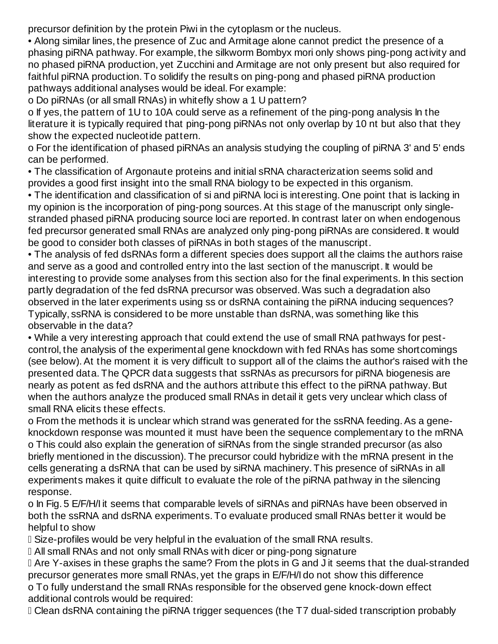precursor definition by the protein Piwi in the cytoplasm or the nucleus.

• Along similar lines, the presence of Zuc and Armitage alone cannot predict the presence of a phasing piRNA pathway. For example, the silkworm Bombyx mori only shows ping-pong activity and no phased piRNA production, yet Zucchini and Armitage are not only present but also required for faithful piRNA production. To solidify the results on ping-pong and phased piRNA production pathways additional analyses would be ideal. For example:

o Do piRNAs (or all small RNAs) in whitefly show a 1 U pattern?

o If yes, the pattern of 1U to 10A could serve as a refinement of the ping-pong analysis In the literature it is typically required that ping-pong piRNAs not only overlap by 10 nt but also that they show the expected nucleotide pattern.

o For the identification of phased piRNAs an analysis studying the coupling of piRNA 3' and 5' ends can be performed.

• The classification of Argonaute proteins and initial sRNA characterization seems solid and provides a good first insight into the small RNA biology to be expected in this organism.

• The identification and classification of si and piRNA loci is interesting. One point that is lacking in my opinion is the incorporation of ping-pong sources. At this stage of the manuscript only singlestranded phased piRNA producing source loci are reported. In contrast later on when endogenous fed precursor generated small RNAs are analyzed only ping-pong piRNAs are considered. It would be good to consider both classes of piRNAs in both stages of the manuscript.

• The analysis of fed dsRNAs form a different species does support all the claims the authors raise and serve as a good and controlled entry into the last section of the manuscript. It would be interesting to provide some analyses from this section also for the final experiments. In this section partly degradation of the fed dsRNA precursor was observed. Was such a degradation also observed in the later experiments using ss or dsRNA containing the piRNA inducing sequences? Typically, ssRNA is considered to be more unstable than dsRNA, was something like this observable in the data?

• While a very interesting approach that could extend the use of small RNA pathways for pestcontrol, the analysis of the experimental gene knockdown with fed RNAs has some shortcomings (see below). At the moment it is very difficult to support all of the claims the author's raised with the presented data. The QPCR data suggests that ssRNAs as precursors for piRNA biogenesis are nearly as potent as fed dsRNA and the authors attribute this effect to the piRNA pathway. But when the authors analyze the produced small RNAs in detail it gets very unclear which class of small RNA elicits these effects.

o From the methods it is unclear which strand was generated for the ssRNA feeding. As a geneknockdown response was mounted it must have been the sequence complementary to the mRNA o This could also explain the generation of siRNAs from the single stranded precursor (as also briefly mentioned in the discussion). The precursor could hybridize with the mRNA present in the cells generating a dsRNA that can be used by siRNA machinery. This presence of siRNAs in all experiments makes it quite difficult to evaluate the role of the piRNA pathway in the silencing response.

o In Fig. 5 E/F/H/I it seems that comparable levels of siRNAs and piRNAs have been observed in both the ssRNA and dsRNA experiments. To evaluate produced small RNAs better it would be helpful to show

Size-profiles would be very helpful in the evaluation of the small RNA results.

All small RNAs and not only small RNAs with dicer or ping-pong signature

 Are Y-axises in these graphs the same? From the plots in G and J it seems that the dual-stranded precursor generates more small RNAs, yet the graps in E/F/H/I do not show this difference o To fully understand the small RNAs responsible for the observed gene knock-down effect additional controls would be required:

Clean dsRNA containing the piRNA trigger sequences (the T7 dual-sided transcription probably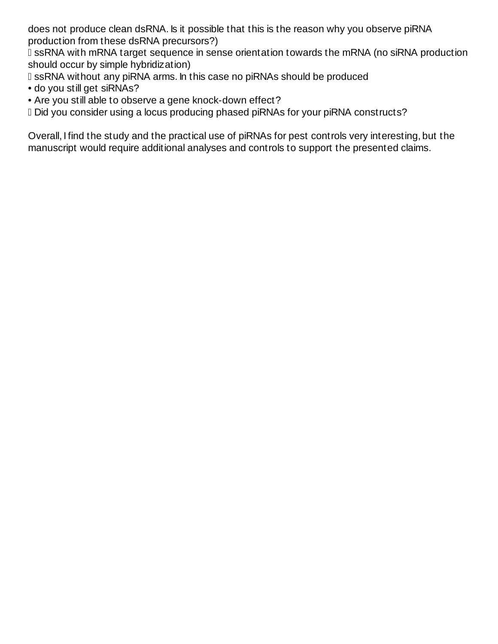does not produce clean dsRNA. Is it possible that this is the reason why you observe piRNA production from these dsRNA precursors?)

 ssRNA with mRNA target sequence in sense orientation towards the mRNA (no siRNA production should occur by simple hybridization)

ssRNA without any piRNA arms. In this case no piRNAs should be produced

- do you still get siRNAs?
- Are you still able to observe a gene knock-down effect?

Did you consider using a locus producing phased piRNAs for your piRNA constructs?

Overall, I find the study and the practical use of piRNAs for pest controls very interesting, but the manuscript would require additional analyses and controls to support the presented claims.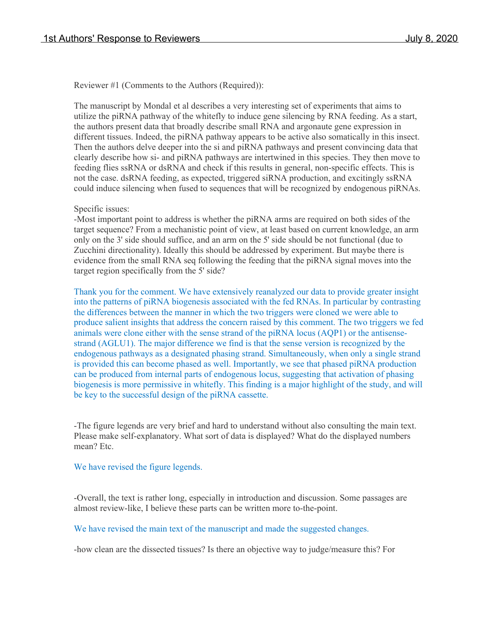Reviewer #1 (Comments to the Authors (Required)):

The manuscript by Mondal et al describes a very interesting set of experiments that aims to utilize the piRNA pathway of the whitefly to induce gene silencing by RNA feeding. As a start, the authors present data that broadly describe small RNA and argonaute gene expression in different tissues. Indeed, the piRNA pathway appears to be active also somatically in this insect. Then the authors delve deeper into the si and piRNA pathways and present convincing data that clearly describe how si- and piRNA pathways are intertwined in this species. They then move to feeding flies ssRNA or dsRNA and check if this results in general, non-specific effects. This is not the case. dsRNA feeding, as expected, triggered siRNA production, and excitingly ssRNA could induce silencing when fused to sequences that will be recognized by endogenous piRNAs.

#### Specific issues:

-Most important point to address is whether the piRNA arms are required on both sides of the target sequence? From a mechanistic point of view, at least based on current knowledge, an arm only on the 3' side should suffice, and an arm on the 5' side should be not functional (due to Zucchini directionality). Ideally this should be addressed by experiment. But maybe there is evidence from the small RNA seq following the feeding that the piRNA signal moves into the target region specifically from the 5' side?

Thank you for the comment. We have extensively reanalyzed our data to provide greater insight into the patterns of piRNA biogenesis associated with the fed RNAs. In particular by contrasting the differences between the manner in which the two triggers were cloned we were able to produce salient insights that address the concern raised by this comment. The two triggers we fed animals were clone either with the sense strand of the piRNA locus (AQP1) or the antisensestrand (AGLU1). The major difference we find is that the sense version is recognized by the endogenous pathways as a designated phasing strand. Simultaneously, when only a single strand is provided this can become phased as well. Importantly, we see that phased piRNA production can be produced from internal parts of endogenous locus, suggesting that activation of phasing biogenesis is more permissive in whitefly. This finding is a major highlight of the study, and will be key to the successful design of the piRNA cassette.

-The figure legends are very brief and hard to understand without also consulting the main text. Please make self-explanatory. What sort of data is displayed? What do the displayed numbers mean? Etc.

#### We have revised the figure legends.

-Overall, the text is rather long, especially in introduction and discussion. Some passages are almost review-like, I believe these parts can be written more to-the-point.

#### We have revised the main text of the manuscript and made the suggested changes.

-how clean are the dissected tissues? Is there an objective way to judge/measure this? For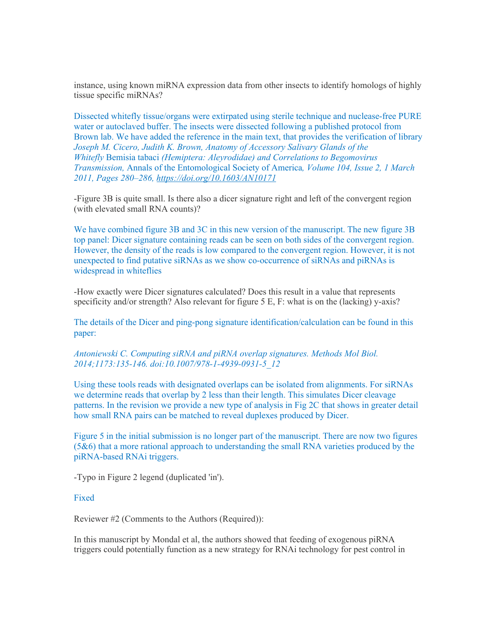instance, using known miRNA expression data from other insects to identify homologs of highly tissue specific miRNAs?

Dissected whitefly tissue/organs were extirpated using sterile technique and nuclease-free PURE water or autoclaved buffer. The insects were dissected following a published protocol from Brown lab. We have added the reference in the main text, that provides the verification of library *Joseph M. Cicero, Judith K. Brown, Anatomy of Accessory Salivary Glands of the Whitefly* Bemisia tabaci *(Hemiptera: Aleyrodidae) and Correlations to Begomovirus Transmission,* Annals of the Entomological Society of America*, Volume 104, Issue 2, 1 March 2011, Pages 280–286, https://doi.org/10.1603/AN10171* 

-Figure 3B is quite small. Is there also a dicer signature right and left of the convergent region (with elevated small RNA counts)?

We have combined figure 3B and 3C in this new version of the manuscript. The new figure 3B top panel: Dicer signature containing reads can be seen on both sides of the convergent region. However, the density of the reads is low compared to the convergent region. However, it is not unexpected to find putative siRNAs as we show co-occurrence of siRNAs and piRNAs is widespread in whiteflies

-How exactly were Dicer signatures calculated? Does this result in a value that represents specificity and/or strength? Also relevant for figure 5 E, F: what is on the (lacking) y-axis?

The details of the Dicer and ping-pong signature identification/calculation can be found in this paper:

*Antoniewski C. Computing siRNA and piRNA overlap signatures. Methods Mol Biol. 2014;1173:135‐146. doi:10.1007/978-1-4939-0931-5\_12* 

Using these tools reads with designated overlaps can be isolated from alignments. For siRNAs we determine reads that overlap by 2 less than their length. This simulates Dicer cleavage patterns. In the revision we provide a new type of analysis in Fig 2C that shows in greater detail how small RNA pairs can be matched to reveal duplexes produced by Dicer.

Figure 5 in the initial submission is no longer part of the manuscript. There are now two figures (5&6) that a more rational approach to understanding the small RNA varieties produced by the piRNA-based RNAi triggers.

-Typo in Figure 2 legend (duplicated 'in').

Fixed

Reviewer #2 (Comments to the Authors (Required)):

In this manuscript by Mondal et al, the authors showed that feeding of exogenous piRNA triggers could potentially function as a new strategy for RNAi technology for pest control in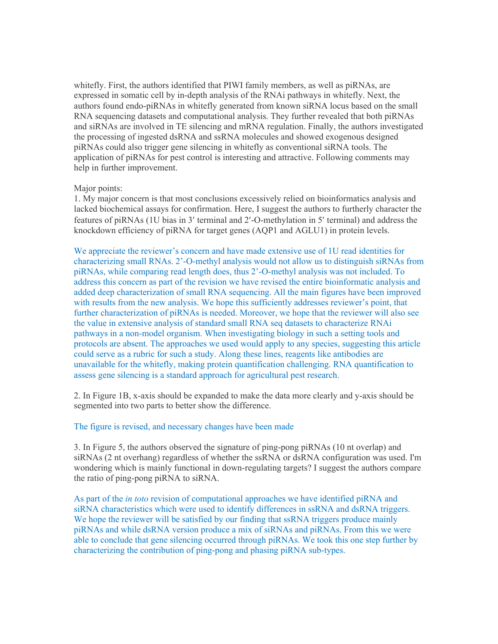whitefly. First, the authors identified that PIWI family members, as well as piRNAs, are expressed in somatic cell by in-depth analysis of the RNAi pathways in whitefly. Next, the authors found endo-piRNAs in whitefly generated from known siRNA locus based on the small RNA sequencing datasets and computational analysis. They further revealed that both piRNAs and siRNAs are involved in TE silencing and mRNA regulation. Finally, the authors investigated the processing of ingested dsRNA and ssRNA molecules and showed exogenous designed piRNAs could also trigger gene silencing in whitefly as conventional siRNA tools. The application of piRNAs for pest control is interesting and attractive. Following comments may help in further improvement.

#### Major points:

1. My major concern is that most conclusions excessively relied on bioinformatics analysis and lacked biochemical assays for confirmation. Here, I suggest the authors to furtherly character the features of piRNAs (1U bias in 3' terminal and 2'-O-methylation in 5' terminal) and address the knockdown efficiency of piRNA for target genes (AQP1 and AGLU1) in protein levels.

We appreciate the reviewer's concern and have made extensive use of 1U read identities for characterizing small RNAs. 2'-O-methyl analysis would not allow us to distinguish siRNAs from piRNAs, while comparing read length does, thus 2'-O-methyl analysis was not included. To address this concern as part of the revision we have revised the entire bioinformatic analysis and added deep characterization of small RNA sequencing. All the main figures have been improved with results from the new analysis. We hope this sufficiently addresses reviewer's point, that further characterization of piRNAs is needed. Moreover, we hope that the reviewer will also see the value in extensive analysis of standard small RNA seq datasets to characterize RNAi pathways in a non-model organism. When investigating biology in such a setting tools and protocols are absent. The approaches we used would apply to any species, suggesting this article could serve as a rubric for such a study. Along these lines, reagents like antibodies are unavailable for the whitefly, making protein quantification challenging. RNA quantification to assess gene silencing is a standard approach for agricultural pest research.

2. In Figure 1B, x-axis should be expanded to make the data more clearly and y-axis should be segmented into two parts to better show the difference.

#### The figure is revised, and necessary changes have been made

3. In Figure 5, the authors observed the signature of ping-pong piRNAs (10 nt overlap) and siRNAs (2 nt overhang) regardless of whether the ssRNA or dsRNA configuration was used. I'm wondering which is mainly functional in down-regulating targets? I suggest the authors compare the ratio of ping-pong piRNA to siRNA.

As part of the *in toto* revision of computational approaches we have identified piRNA and siRNA characteristics which were used to identify differences in ssRNA and dsRNA triggers. We hope the reviewer will be satisfied by our finding that ssRNA triggers produce mainly piRNAs and while dsRNA version produce a mix of siRNAs and piRNAs. From this we were able to conclude that gene silencing occurred through piRNAs. We took this one step further by characterizing the contribution of ping-pong and phasing piRNA sub-types.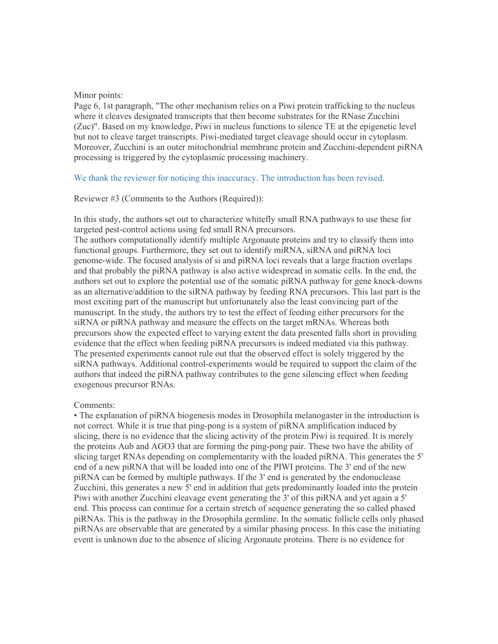#### Minor points:

Page 6, 1st paragraph, "The other mechanism relies on a Piwi protein trafficking to the nucleus where it cleaves designated transcripts that then become substrates for the RNase Zucchini (Zuc)". Based on my knowledge, Piwi in nucleus functions to silence TE at the epigenetic level but not to cleave target transcripts. Piwi-mediated target cleavage should occur in cytoplasm. Moreover, Zucchini is an outer mitochondrial membrane protein and Zucchini-dependent piRNA processing is triggered by the cytoplasmic processing machinery.

We thank the reviewer for noticing this inaccuracy. The introduction has been revised.

#### Reviewer #3 (Comments to the Authors (Required)):

In this study, the authors set out to characterize whitefly small RNA pathways to use these for targeted pest-control actions using fed small RNA precursors.

The authors computationally identify multiple Argonaute proteins and try to classify them into functional groups. Furthermore, they set out to identify miRNA, siRNA and piRNA loci genome-wide. The focused analysis of si and piRNA loci reveals that a large fraction overlaps and that probably the piRNA pathway is also active widespread in somatic cells. In the end, the authors set out to explore the potential use of the somatic piRNA pathway for gene knock-downs as an alternative/addition to the siRNA pathway by feeding RNA precursors. This last part is the most exciting part of the manuscript but unfortunately also the least convincing part of the manuscript. In the study, the authors try to test the effect of feeding either precursors for the siRNA or piRNA pathway and measure the effects on the target mRNAs. Whereas both precursors show the expected effect to varying extent the data presented falls short in providing evidence that the effect when feeding piRNA precursors is indeed mediated via this pathway. The presented experiments cannot rule out that the observed effect is solely triggered by the siRNA pathways. Additional control-experiments would be required to support the claim of the authors that indeed the piRNA pathway contributes to the gene silencing effect when feeding exogenous precursor RNAs.

#### Comments:

• The explanation of piRNA biogenesis modes in Drosophila melanogaster in the introduction is not correct. While it is true that ping-pong is a system of piRNA amplification induced by slicing, there is no evidence that the slicing activity of the protein Piwi is required. It is merely the proteins Aub and AGO3 that are forming the ping-pong pair. These two have the ability of slicing target RNAs depending on complementarity with the loaded piRNA. This generates the 5' end of a new piRNA that will be loaded into one of the PIWI proteins. The 3' end of the new piRNA can be formed by multiple pathways. If the 3' end is generated by the endonuclease Zucchini, this generates a new 5' end in addition that gets predominantly loaded into the protein Piwi with another Zucchini cleavage event generating the 3' of this piRNA and yet again a 5' end. This process can continue for a certain stretch of sequence generating the so called phased piRNAs. This is the pathway in the Drosophila germline. In the somatic follicle cells only phased piRNAs are observable that are generated by a similar phasing process. In this case the initiating event is unknown due to the absence of slicing Argonaute proteins. There is no evidence for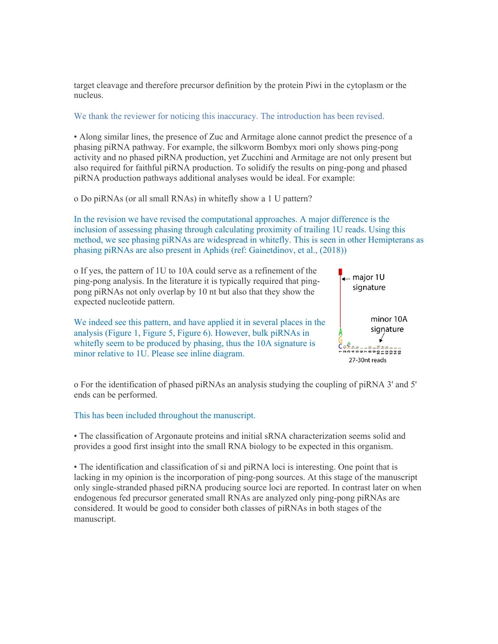target cleavage and therefore precursor definition by the protein Piwi in the cytoplasm or the nucleus.

We thank the reviewer for noticing this inaccuracy. The introduction has been revised.

• Along similar lines, the presence of Zuc and Armitage alone cannot predict the presence of a phasing piRNA pathway. For example, the silkworm Bombyx mori only shows ping-pong activity and no phased piRNA production, yet Zucchini and Armitage are not only present but also required for faithful piRNA production. To solidify the results on ping-pong and phased piRNA production pathways additional analyses would be ideal. For example:

o Do piRNAs (or all small RNAs) in whitefly show a 1 U pattern?

In the revision we have revised the computational approaches. A major difference is the inclusion of assessing phasing through calculating proximity of trailing 1U reads. Using this method, we see phasing piRNAs are widespread in whitefly. This is seen in other Hemipterans as phasing piRNAs are also present in Aphids (ref: Gainetdinov, et al., (2018))



o For the identification of phased piRNAs an analysis studying the coupling of piRNA 3' and 5' ends can be performed.

This has been included throughout the manuscript.

• The classification of Argonaute proteins and initial sRNA characterization seems solid and provides a good first insight into the small RNA biology to be expected in this organism.

• The identification and classification of si and piRNA loci is interesting. One point that is lacking in my opinion is the incorporation of ping-pong sources. At this stage of the manuscript only single-stranded phased piRNA producing source loci are reported. In contrast later on when endogenous fed precursor generated small RNAs are analyzed only ping-pong piRNAs are considered. It would be good to consider both classes of piRNAs in both stages of the manuscript.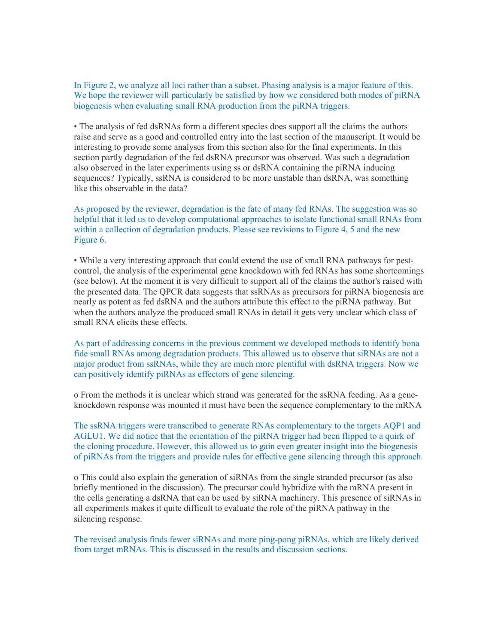In Figure 2, we analyze all loci rather than a subset. Phasing analysis is a major feature of this. We hope the reviewer will particularly be satisfied by how we considered both modes of piRNA biogenesis when evaluating small RNA production from the piRNA triggers.

• The analysis of fed dsRNAs form a different species does support all the claims the authors raise and serve as a good and controlled entry into the last section of the manuscript. It would be interesting to provide some analyses from this section also for the final experiments. In this section partly degradation of the fed dsRNA precursor was observed. Was such a degradation also observed in the later experiments using ss or dsRNA containing the piRNA inducing sequences? Typically, ssRNA is considered to be more unstable than dsRNA, was something like this observable in the data?

As proposed by the reviewer, degradation is the fate of many fed RNAs. The suggestion was so helpful that it led us to develop computational approaches to isolate functional small RNAs from within a collection of degradation products. Please see revisions to Figure 4, 5 and the new Figure 6.

• While a very interesting approach that could extend the use of small RNA pathways for pestcontrol, the analysis of the experimental gene knockdown with fed RNAs has some shortcomings (see below). At the moment it is very difficult to support all of the claims the author's raised with the presented data. The QPCR data suggests that ssRNAs as precursors for piRNA biogenesis are nearly as potent as fed dsRNA and the authors attribute this effect to the piRNA pathway. But when the authors analyze the produced small RNAs in detail it gets very unclear which class of small RNA elicits these effects.

As part of addressing concerns in the previous comment we developed methods to identify bona fide small RNAs among degradation products. This allowed us to observe that siRNAs are not a major product from ssRNAs, while they are much more plentiful with dsRNA triggers. Now we can positively identify piRNAs as effectors of gene silencing.

o From the methods it is unclear which strand was generated for the ssRNA feeding. As a geneknockdown response was mounted it must have been the sequence complementary to the mRNA

The ssRNA triggers were transcribed to generate RNAs complementary to the targets AQP1 and AGLU1. We did notice that the orientation of the piRNA trigger had been flipped to a quirk of the cloning procedure. However, this allowed us to gain even greater insight into the biogenesis of piRNAs from the triggers and provide rules for effective gene silencing through this approach.

o This could also explain the generation of siRNAs from the single stranded precursor (as also briefly mentioned in the discussion). The precursor could hybridize with the mRNA present in the cells generating a dsRNA that can be used by siRNA machinery. This presence of siRNAs in all experiments makes it quite difficult to evaluate the role of the piRNA pathway in the silencing response.

The revised analysis finds fewer siRNAs and more ping-pong piRNAs, which are likely derived from target mRNAs. This is discussed in the results and discussion sections.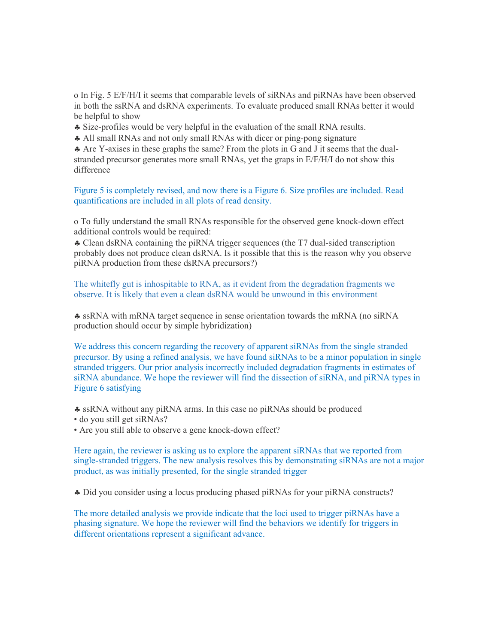o In Fig. 5 E/F/H/I it seems that comparable levels of siRNAs and piRNAs have been observed in both the ssRNA and dsRNA experiments. To evaluate produced small RNAs better it would be helpful to show

- § Size-profiles would be very helpful in the evaluation of the small RNA results.
- § All small RNAs and not only small RNAs with dicer or ping-pong signature

§ Are Y-axises in these graphs the same? From the plots in G and J it seems that the dualstranded precursor generates more small RNAs, yet the graps in E/F/H/I do not show this difference

Figure 5 is completely revised, and now there is a Figure 6. Size profiles are included. Read quantifications are included in all plots of read density.

o To fully understand the small RNAs responsible for the observed gene knock-down effect additional controls would be required:

§ Clean dsRNA containing the piRNA trigger sequences (the T7 dual-sided transcription probably does not produce clean dsRNA. Is it possible that this is the reason why you observe piRNA production from these dsRNA precursors?)

The whitefly gut is inhospitable to RNA, as it evident from the degradation fragments we observe. It is likely that even a clean dsRNA would be unwound in this environment

§ ssRNA with mRNA target sequence in sense orientation towards the mRNA (no siRNA production should occur by simple hybridization)

We address this concern regarding the recovery of apparent siRNAs from the single stranded precursor. By using a refined analysis, we have found siRNAs to be a minor population in single stranded triggers. Our prior analysis incorrectly included degradation fragments in estimates of siRNA abundance. We hope the reviewer will find the dissection of siRNA, and piRNA types in Figure 6 satisfying

- § ssRNA without any piRNA arms. In this case no piRNAs should be produced
- do you still get siRNAs?
- Are you still able to observe a gene knock-down effect?

Here again, the reviewer is asking us to explore the apparent siRNAs that we reported from single-stranded triggers. The new analysis resolves this by demonstrating siRNAs are not a major product, as was initially presented, for the single stranded trigger

§ Did you consider using a locus producing phased piRNAs for your piRNA constructs?

The more detailed analysis we provide indicate that the loci used to trigger piRNAs have a phasing signature. We hope the reviewer will find the behaviors we identify for triggers in different orientations represent a significant advance.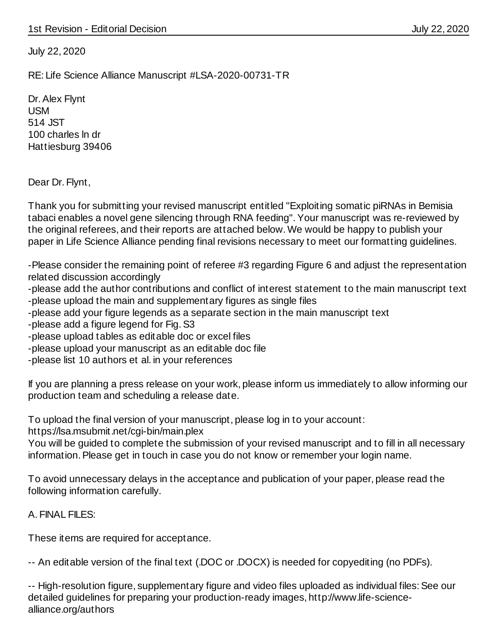July 22, 2020

RE: Life Science Alliance Manuscript #LSA-2020-00731-TR

Dr. Alex Flynt USM 514 JST 100 charles ln dr Hattiesburg 39406

Dear Dr. Flynt,

Thank you for submitting your revised manuscript entitled "Exploiting somatic piRNAs in Bemisia tabaci enables a novel gene silencing through RNA feeding". Your manuscript was re-reviewed by the original referees, and their reports are attached below. We would be happy to publish your paper in Life Science Alliance pending final revisions necessary to meet our formatting guidelines.

-Please consider the remaining point of referee #3 regarding Figure 6 and adjust the representation related discussion accordingly

-please add the author contributions and conflict of interest statement to the main manuscript text

- -please upload the main and supplementary figures as single files
- -please add your figure legends as a separate section in the main manuscript text
- -please add a figure legend for Fig. S3
- -please upload tables as editable doc or excel files
- -please upload your manuscript as an editable doc file
- -please list 10 authors et al. in your references

If you are planning a press release on your work, please inform us immediately to allow informing our production team and scheduling a release date.

To upload the final version of your manuscript, please log in to your account:

https://lsa.msubmit.net/cgi-bin/main.plex

You will be guided to complete the submission of your revised manuscript and to fill in all necessary information. Please get in touch in case you do not know or remember your login name.

To avoid unnecessary delays in the acceptance and publication of your paper, please read the following information carefully.

A. FINAL FILES:

These items are required for acceptance.

-- An editable version of the final text (.DOC or .DOCX) is needed for copyediting (no PDFs).

-- High-resolution figure, supplementary figure and video files uploaded as individual files: See our detailed guidelines for preparing your production-ready images, http://www.life-sciencealliance.org/authors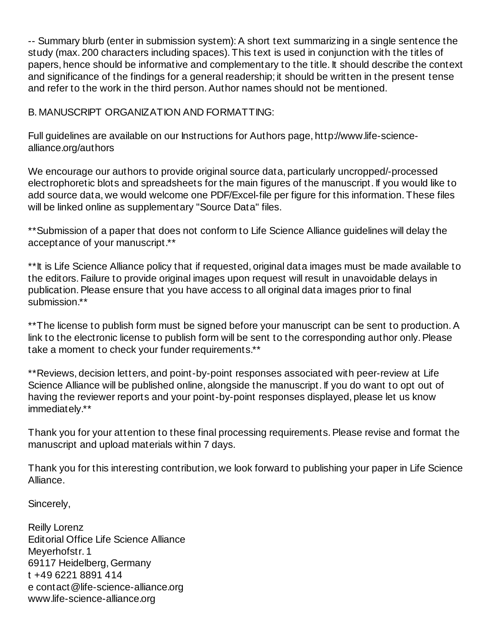-- Summary blurb (enter in submission system): A short text summarizing in a single sentence the study (max. 200 characters including spaces). This text is used in conjunction with the titles of papers, hence should be informative and complementary to the title. It should describe the context and significance of the findings for a general readership; it should be written in the present tense and refer to the work in the third person. Author names should not be mentioned.

B. MANUSCRIPT ORGANIZATION AND FORMATTING:

Full guidelines are available on our Instructions for Authors page, http://www.life-sciencealliance.org/authors

We encourage our authors to provide original source data, particularly uncropped/-processed electrophoretic blots and spreadsheets for the main figures of the manuscript. If you would like to add source data, we would welcome one PDF/Excel-file per figure for this information. These files will be linked online as supplementary "Source Data" files.

\*\*Submission of a paper that does not conform to Life Science Alliance guidelines will delay the acceptance of your manuscript.\*\*

\*\*It is Life Science Alliance policy that if requested, original data images must be made available to the editors. Failure to provide original images upon request will result in unavoidable delays in publication. Please ensure that you have access to all original data images prior to final submission.\*\*

\*\*The license to publish form must be signed before your manuscript can be sent to production. A link to the electronic license to publish form will be sent to the corresponding author only. Please take a moment to check your funder requirements.\*\*

\*\*Reviews, decision letters, and point-by-point responses associated with peer-review at Life Science Alliance will be published online, alongside the manuscript. If you do want to opt out of having the reviewer reports and your point-by-point responses displayed, please let us know immediately.\*\*

Thank you for your attention to these final processing requirements. Please revise and format the manuscript and upload materials within 7 days.

Thank you for this interesting contribution, we look forward to publishing your paper in Life Science Alliance.

Sincerely,

Reilly Lorenz Editorial Office Life Science Alliance Meyerhofstr. 1 69117 Heidelberg, Germany t +49 6221 8891 414 e contact@life-science-alliance.org www.life-science-alliance.org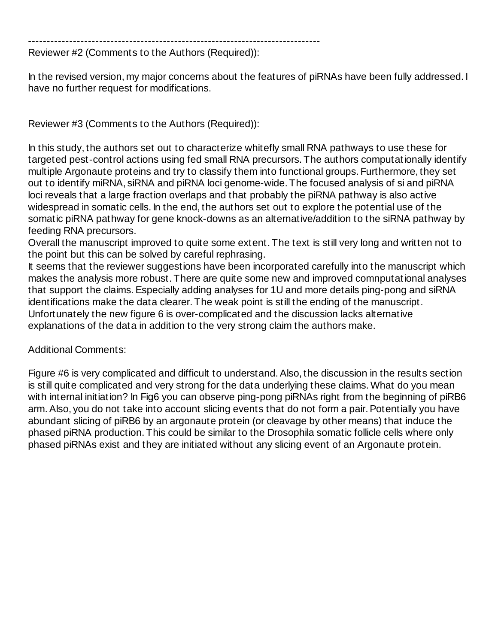------------------------------------------------------------------------------

Reviewer #2 (Comments to the Authors (Required)):

In the revised version, my major concerns about the features of piRNAs have been fully addressed. I have no further request for modifications.

Reviewer #3 (Comments to the Authors (Required)):

In this study, the authors set out to characterize whitefly small RNA pathways to use these for targeted pest-control actions using fed small RNA precursors. The authors computationally identify multiple Argonaute proteins and try to classify them into functional groups. Furthermore, they set out to identify miRNA, siRNA and piRNA loci genome-wide. The focused analysis of si and piRNA loci reveals that a large fraction overlaps and that probably the piRNA pathway is also active widespread in somatic cells. In the end, the authors set out to explore the potential use of the somatic piRNA pathway for gene knock-downs as an alternative/addition to the siRNA pathway by feeding RNA precursors.

Overall the manuscript improved to quite some extent. The text is still very long and written not to the point but this can be solved by careful rephrasing.

It seems that the reviewer suggestions have been incorporated carefully into the manuscript which makes the analysis more robust. There are quite some new and improved comnputational analyses that support the claims. Especially adding analyses for 1U and more details ping-pong and siRNA identifications make the data clearer. The weak point is still the ending of the manuscript. Unfortunately the new figure 6 is over-complicated and the discussion lacks alternative explanations of the data in addition to the very strong claim the authors make.

Additional Comments:

Figure #6 is very complicated and difficult to understand. Also, the discussion in the results section is still quite complicated and very strong for the data underlying these claims. What do you mean with internal initiation? In Fig6 you can observe ping-pong piRNAs right from the beginning of piRB6 arm. Also, you do not take into account slicing events that do not form a pair. Potentially you have abundant slicing of piRB6 by an argonaute protein (or cleavage by other means) that induce the phased piRNA production. This could be similar to the Drosophila somatic follicle cells where only phased piRNAs exist and they are initiated without any slicing event of an Argonaute protein.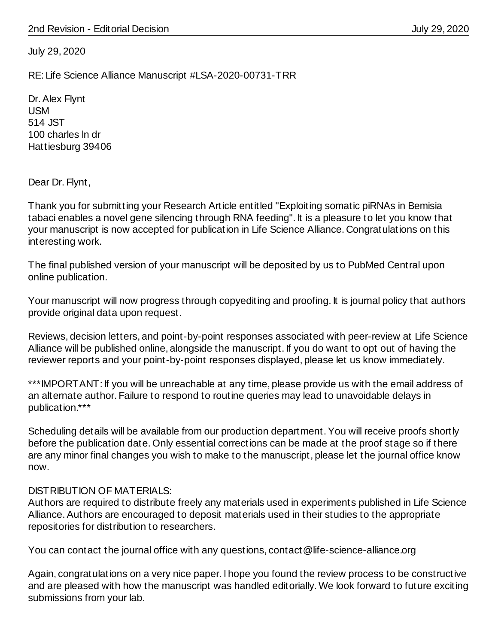July 29, 2020

RE: Life Science Alliance Manuscript #LSA-2020-00731-TRR

Dr. Alex Flynt USM 514 JST 100 charles ln dr Hattiesburg 39406

Dear Dr. Flynt,

Thank you for submitting your Research Article entitled "Exploiting somatic piRNAs in Bemisia tabaci enables a novel gene silencing through RNA feeding". It is a pleasure to let you know that your manuscript is now accepted for publication in Life Science Alliance. Congratulations on this interesting work.

The final published version of your manuscript will be deposited by us to PubMed Central upon online publication.

Your manuscript will now progress through copyediting and proofing. It is journal policy that authors provide original data upon request.

Reviews, decision letters, and point-by-point responses associated with peer-review at Life Science Alliance will be published online, alongside the manuscript. If you do want to opt out of having the reviewer reports and your point-by-point responses displayed, please let us know immediately.

\*\*\*IMPORTANT: If you will be unreachable at any time, please provide us with the email address of an alternate author. Failure to respond to routine queries may lead to unavoidable delays in publication.\*\*\*

Scheduling details will be available from our production department. You will receive proofs shortly before the publication date. Only essential corrections can be made at the proof stage so if there are any minor final changes you wish to make to the manuscript, please let the journal office know now.

#### DISTRIBUTION OF MATERIALS:

Authors are required to distribute freely any materials used in experiments published in Life Science Alliance. Authors are encouraged to deposit materials used in their studies to the appropriate repositories for distribution to researchers.

You can contact the journal office with any questions, contact@life-science-alliance.org

Again, congratulations on a very nice paper. I hope you found the review process to be constructive and are pleased with how the manuscript was handled editorially. We look forward to future exciting submissions from your lab.